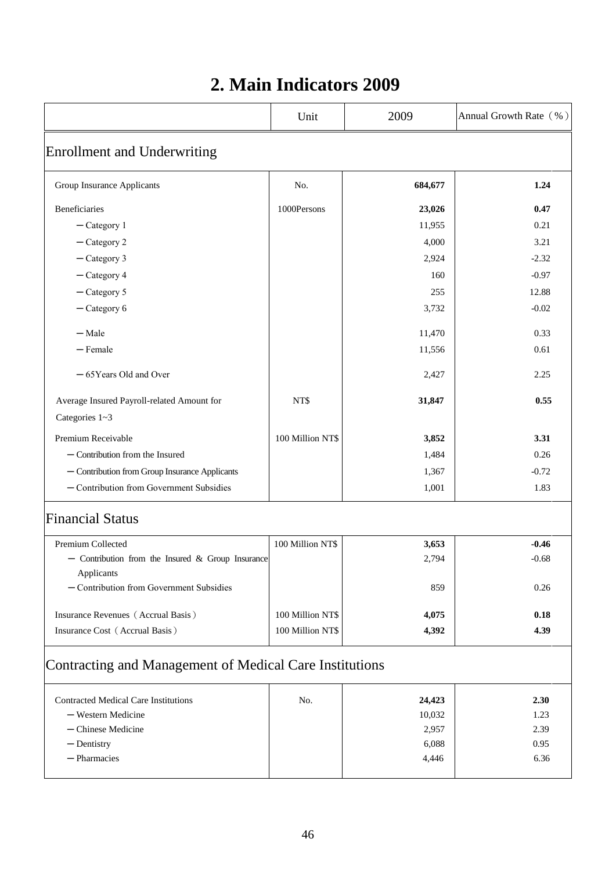## **2. Main Indicators 2009**

|                                                         | Unit             | 2009    | Annual Growth Rate (%) |  |  |
|---------------------------------------------------------|------------------|---------|------------------------|--|--|
| <b>Enrollment and Underwriting</b>                      |                  |         |                        |  |  |
| Group Insurance Applicants                              | No.              | 684,677 | 1.24                   |  |  |
| Beneficiaries                                           | 1000Persons      | 23,026  | 0.47                   |  |  |
| $-$ Category 1                                          |                  | 11,955  | 0.21                   |  |  |
| $-$ Category 2                                          |                  | 4,000   | 3.21                   |  |  |
| $-$ Category 3                                          |                  | 2,924   | $-2.32$                |  |  |
| $-$ Category 4                                          |                  | 160     | $-0.97$                |  |  |
| $-$ Category 5                                          |                  | 255     | 12.88                  |  |  |
| $-$ Category 6                                          |                  | 3,732   | $-0.02$                |  |  |
| $-$ Male                                                |                  | 11,470  | 0.33                   |  |  |
| $-$ Female                                              |                  | 11,556  | 0.61                   |  |  |
| -65Years Old and Over                                   |                  | 2,427   | 2.25                   |  |  |
| Average Insured Payroll-related Amount for              | NT\$             | 31,847  | 0.55                   |  |  |
| Categories 1~3                                          |                  |         |                        |  |  |
| Premium Receivable                                      | 100 Million NT\$ | 3,852   | 3.31                   |  |  |
| $-$ Contribution from the Insured                       |                  | 1,484   | 0.26                   |  |  |
| - Contribution from Group Insurance Applicants          |                  | 1,367   | $-0.72$                |  |  |
| - Contribution from Government Subsidies                |                  | 1,001   | 1.83                   |  |  |
| <b>Financial Status</b>                                 |                  |         |                        |  |  |
| Premium Collected                                       | 100 Million NT\$ | 3,653   | $-0.46$                |  |  |
| - Contribution from the Insured & Group Insurance       |                  | 2,794   | $-0.68$                |  |  |
| Applicants                                              |                  |         |                        |  |  |
| - Contribution from Government Subsidies                |                  | 859     | 0.26                   |  |  |
| Insurance Revenues (Accrual Basis)                      | 100 Million NT\$ | 4,075   | 0.18                   |  |  |
| Insurance Cost (Accrual Basis)                          | 100 Million NT\$ | 4,392   | 4.39                   |  |  |
| Contracting and Management of Medical Care Institutions |                  |         |                        |  |  |
| <b>Contracted Medical Care Institutions</b>             | No.              | 24,423  | 2.30                   |  |  |
| - Western Medicine                                      |                  | 10,032  | 1.23                   |  |  |
| $-$ Chinese Medicine                                    |                  | 2,957   | 2.39                   |  |  |
| $-$ Dentistry                                           |                  | 6,088   | 0.95                   |  |  |
| $-$ Pharmacies                                          |                  | 4,446   | 6.36                   |  |  |